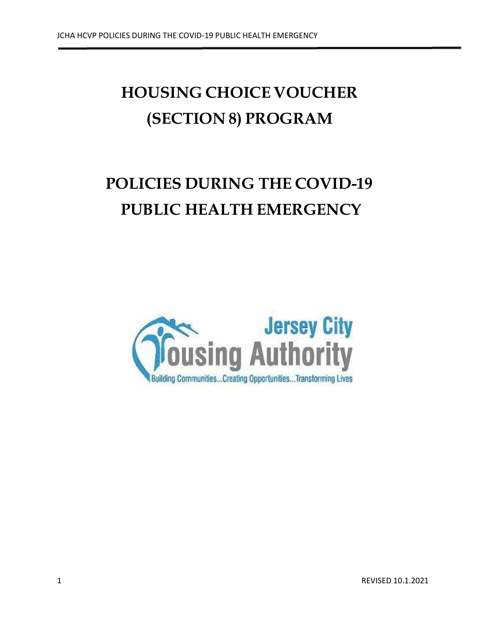# **HOUSING CHOICE VOUCHER (SECTION 8) PROGRAM**

# **POLICIES DURING THE COVID-19 PUBLIC HEALTH EMERGENCY**

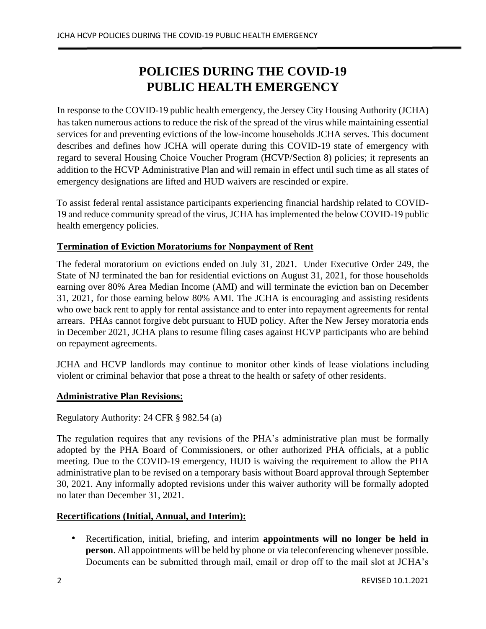# **POLICIES DURING THE COVID-19 PUBLIC HEALTH EMERGENCY**

In response to the COVID-19 public health emergency, the Jersey City Housing Authority (JCHA) has taken numerous actions to reduce the risk of the spread of the virus while maintaining essential services for and preventing evictions of the low-income households JCHA serves. This document describes and defines how JCHA will operate during this COVID-19 state of emergency with regard to several Housing Choice Voucher Program (HCVP/Section 8) policies; it represents an addition to the HCVP Administrative Plan and will remain in effect until such time as all states of emergency designations are lifted and HUD waivers are rescinded or expire.

To assist federal rental assistance participants experiencing financial hardship related to COVID-19 and reduce community spread of the virus, JCHA has implemented the below COVID-19 public health emergency policies.

# **Termination of Eviction Moratoriums for Nonpayment of Rent**

The federal moratorium on evictions ended on July 31, 2021. Under Executive Order 249, the State of NJ terminated the ban for residential evictions on August 31, 2021, for those households earning over 80% Area Median Income (AMI) and will terminate the eviction ban on December 31, 2021, for those earning below 80% AMI. The JCHA is encouraging and assisting residents who owe back rent to apply for rental assistance and to enter into repayment agreements for rental arrears. PHAs cannot forgive debt pursuant to HUD policy. After the New Jersey moratoria ends in December 2021, JCHA plans to resume filing cases against HCVP participants who are behind on repayment agreements.

JCHA and HCVP landlords may continue to monitor other kinds of lease violations including violent or criminal behavior that pose a threat to the health or safety of other residents.

# **Administrative Plan Revisions:**

# Regulatory Authority: 24 CFR § 982.54 (a)

The regulation requires that any revisions of the PHA's administrative plan must be formally adopted by the PHA Board of Commissioners, or other authorized PHA officials, at a public meeting. Due to the COVID-19 emergency, HUD is waiving the requirement to allow the PHA administrative plan to be revised on a temporary basis without Board approval through September 30, 2021. Any informally adopted revisions under this waiver authority will be formally adopted no later than December 31, 2021.

# **Recertifications (Initial, Annual, and Interim):**

• Recertification, initial, briefing, and interim **appointments will no longer be held in person**. All appointments will be held by phone or via teleconferencing whenever possible. Documents can be submitted through mail, email or drop off to the mail slot at JCHA's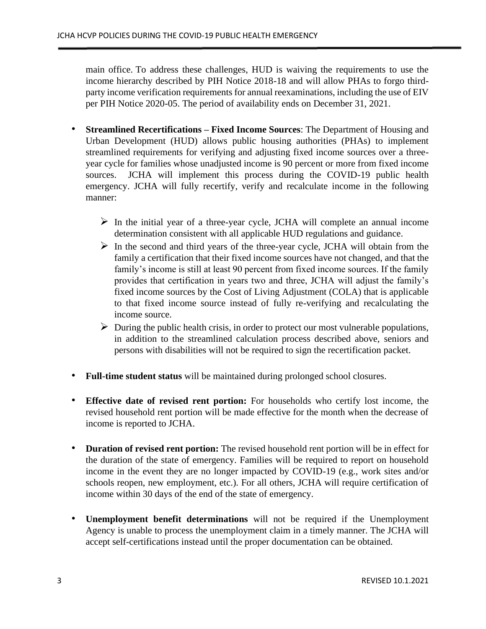main office. To address these challenges, HUD is waiving the requirements to use the income hierarchy described by PIH Notice 2018-18 and will allow PHAs to forgo thirdparty income verification requirements for annual reexaminations, including the use of EIV per PIH Notice 2020-05. The period of availability ends on December 31, 2021.

- **Streamlined Recertifications – Fixed Income Sources**: The Department of Housing and Urban Development (HUD) allows public housing authorities (PHAs) to implement streamlined requirements for verifying and adjusting fixed income sources over a threeyear cycle for families whose unadjusted income is 90 percent or more from fixed income sources. JCHA will implement this process during the COVID-19 public health emergency. JCHA will fully recertify, verify and recalculate income in the following manner:
	- $\triangleright$  In the initial year of a three-year cycle, JCHA will complete an annual income determination consistent with all applicable HUD regulations and guidance.
	- $\triangleright$  In the second and third years of the three-year cycle, JCHA will obtain from the family a certification that their fixed income sources have not changed, and that the family's income is still at least 90 percent from fixed income sources. If the family provides that certification in years two and three, JCHA will adjust the family's fixed income sources by the Cost of Living Adjustment (COLA) that is applicable to that fixed income source instead of fully re-verifying and recalculating the income source.
	- $\triangleright$  During the public health crisis, in order to protect our most vulnerable populations, in addition to the streamlined calculation process described above, seniors and persons with disabilities will not be required to sign the recertification packet.
- **Full-time student status** will be maintained during prolonged school closures.
- **Effective date of revised rent portion:** For households who certify lost income, the revised household rent portion will be made effective for the month when the decrease of income is reported to JCHA.
- **Duration of revised rent portion:** The revised household rent portion will be in effect for the duration of the state of emergency. Families will be required to report on household income in the event they are no longer impacted by COVID-19 (e.g., work sites and/or schools reopen, new employment, etc.). For all others, JCHA will require certification of income within 30 days of the end of the state of emergency.
- **Unemployment benefit determinations** will not be required if the Unemployment Agency is unable to process the unemployment claim in a timely manner. The JCHA will accept self-certifications instead until the proper documentation can be obtained.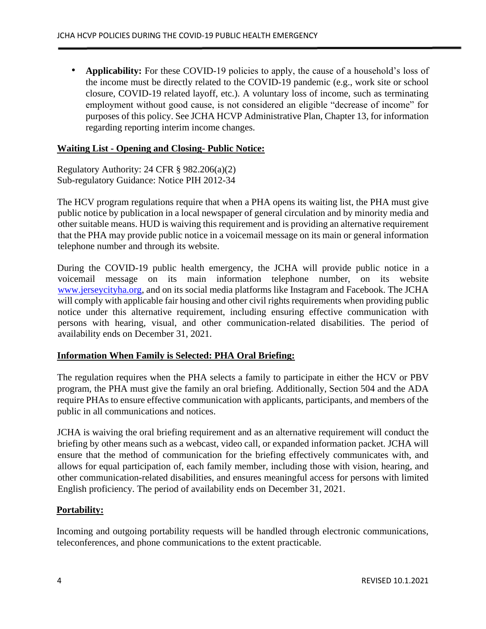• **Applicability:** For these COVID-19 policies to apply, the cause of a household's loss of the income must be directly related to the COVID-19 pandemic (e.g., work site or school closure, COVID-19 related layoff, etc.). A voluntary loss of income, such as terminating employment without good cause, is not considered an eligible "decrease of income" for purposes of this policy. See JCHA HCVP Administrative Plan, Chapter 13, for information regarding reporting interim income changes.

#### **Waiting List - Opening and Closing- Public Notice:**

Regulatory Authority: 24 CFR § 982.206(a)(2) Sub-regulatory Guidance: Notice PIH 2012-34

The HCV program regulations require that when a PHA opens its waiting list, the PHA must give public notice by publication in a local newspaper of general circulation and by minority media and other suitable means. HUD is waiving this requirement and is providing an alternative requirement that the PHA may provide public notice in a voicemail message on its main or general information telephone number and through its website.

During the COVID-19 public health emergency, the JCHA will provide public notice in a voicemail message on its main information telephone number, on its website [www.jerseycityha.org,](http://www.jerseycityha.org/) and on its social media platforms like Instagram and Facebook. The JCHA will comply with applicable fair housing and other civil rights requirements when providing public notice under this alternative requirement, including ensuring effective communication with persons with hearing, visual, and other communication-related disabilities. The period of availability ends on December 31, 2021.

#### **Information When Family is Selected: PHA Oral Briefing:**

The regulation requires when the PHA selects a family to participate in either the HCV or PBV program, the PHA must give the family an oral briefing. Additionally, Section 504 and the ADA require PHAs to ensure effective communication with applicants, participants, and members of the public in all communications and notices.

JCHA is waiving the oral briefing requirement and as an alternative requirement will conduct the briefing by other means such as a webcast, video call, or expanded information packet. JCHA will ensure that the method of communication for the briefing effectively communicates with, and allows for equal participation of, each family member, including those with vision, hearing, and other communication-related disabilities, and ensures meaningful access for persons with limited English proficiency. The period of availability ends on December 31, 2021.

#### **Portability:**

Incoming and outgoing portability requests will be handled through electronic communications, teleconferences, and phone communications to the extent practicable.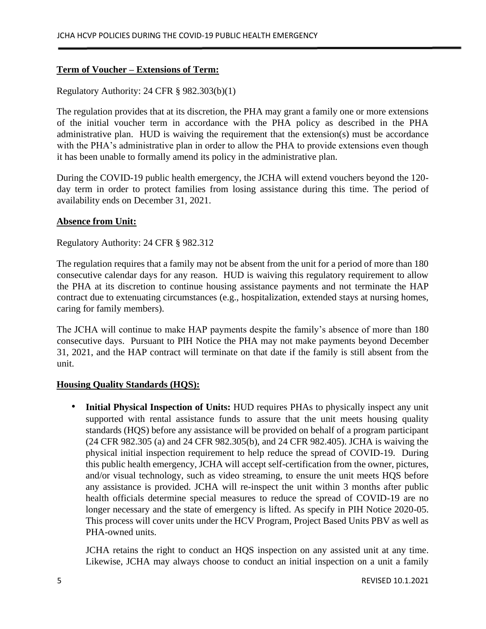# **Term of Voucher – Extensions of Term:**

#### Regulatory Authority: 24 CFR § 982.303(b)(1)

The regulation provides that at its discretion, the PHA may grant a family one or more extensions of the initial voucher term in accordance with the PHA policy as described in the PHA administrative plan. HUD is waiving the requirement that the extension(s) must be accordance with the PHA's administrative plan in order to allow the PHA to provide extensions even though it has been unable to formally amend its policy in the administrative plan.

During the COVID-19 public health emergency, the JCHA will extend vouchers beyond the 120 day term in order to protect families from losing assistance during this time. The period of availability ends on December 31, 2021.

#### **Absence from Unit:**

Regulatory Authority: 24 CFR § 982.312

The regulation requires that a family may not be absent from the unit for a period of more than 180 consecutive calendar days for any reason. HUD is waiving this regulatory requirement to allow the PHA at its discretion to continue housing assistance payments and not terminate the HAP contract due to extenuating circumstances (e.g., hospitalization, extended stays at nursing homes, caring for family members).

The JCHA will continue to make HAP payments despite the family's absence of more than 180 consecutive days. Pursuant to PIH Notice the PHA may not make payments beyond December 31, 2021, and the HAP contract will terminate on that date if the family is still absent from the unit.

#### **Housing Quality Standards (HQS):**

• **Initial Physical Inspection of Units:** HUD requires PHAs to physically inspect any unit supported with rental assistance funds to assure that the unit meets housing quality standards (HQS) before any assistance will be provided on behalf of a program participant (24 CFR 982.305 (a) and 24 CFR 982.305(b), and 24 CFR 982.405). JCHA is waiving the physical initial inspection requirement to help reduce the spread of COVID-19. During this public health emergency, JCHA will accept self-certification from the owner, pictures, and/or visual technology, such as video streaming, to ensure the unit meets HQS before any assistance is provided. JCHA will re-inspect the unit within 3 months after public health officials determine special measures to reduce the spread of COVID-19 are no longer necessary and the state of emergency is lifted. As specify in PIH Notice 2020-05. This process will cover units under the HCV Program, Project Based Units PBV as well as PHA-owned units.

JCHA retains the right to conduct an HQS inspection on any assisted unit at any time. Likewise, JCHA may always choose to conduct an initial inspection on a unit a family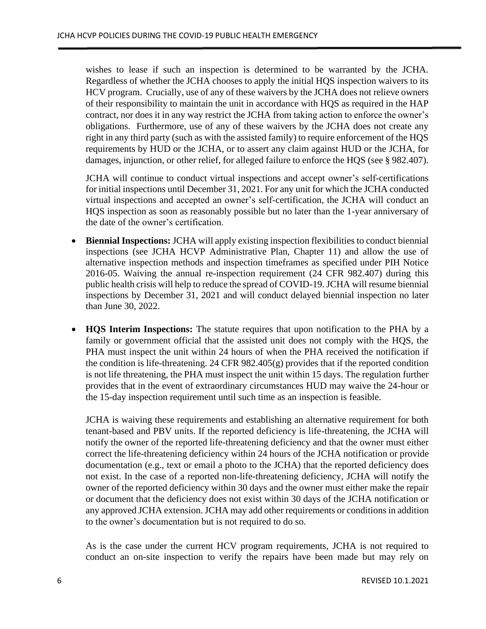wishes to lease if such an inspection is determined to be warranted by the JCHA. Regardless of whether the JCHA chooses to apply the initial HQS inspection waivers to its HCV program. Crucially, use of any of these waivers by the JCHA does not relieve owners of their responsibility to maintain the unit in accordance with HQS as required in the HAP contract, nor does it in any way restrict the JCHA from taking action to enforce the owner's obligations. Furthermore, use of any of these waivers by the JCHA does not create any right in any third party (such as with the assisted family) to require enforcement of the HQS requirements by HUD or the JCHA, or to assert any claim against HUD or the JCHA, for damages, injunction, or other relief, for alleged failure to enforce the HQS (see § 982.407).

JCHA will continue to conduct virtual inspections and accept owner's self-certifications for initial inspections until December 31, 2021. For any unit for which the JCHA conducted virtual inspections and accepted an owner's self-certification, the JCHA will conduct an HQS inspection as soon as reasonably possible but no later than the 1-year anniversary of the date of the owner's certification.

- **Biennial Inspections:** JCHA will apply existing inspection flexibilities to conduct biennial inspections (see JCHA HCVP Administrative Plan, Chapter 11) and allow the use of alternative inspection methods and inspection timeframes as specified under PIH Notice 2016-05. Waiving the annual re-inspection requirement (24 CFR 982.407) during this public health crisis will help to reduce the spread of COVID-19. JCHA will resume biennial inspections by December 31, 2021 and will conduct delayed biennial inspection no later than June 30, 2022.
- **HQS Interim Inspections:** The statute requires that upon notification to the PHA by a family or government official that the assisted unit does not comply with the HQS, the PHA must inspect the unit within 24 hours of when the PHA received the notification if the condition is life-threatening. 24 CFR 982.405 $(g)$  provides that if the reported condition is not life threatening, the PHA must inspect the unit within 15 days. The regulation further provides that in the event of extraordinary circumstances HUD may waive the 24-hour or the 15-day inspection requirement until such time as an inspection is feasible.

JCHA is waiving these requirements and establishing an alternative requirement for both tenant-based and PBV units. If the reported deficiency is life-threatening, the JCHA will notify the owner of the reported life-threatening deficiency and that the owner must either correct the life-threatening deficiency within 24 hours of the JCHA notification or provide documentation (e.g., text or email a photo to the JCHA) that the reported deficiency does not exist. In the case of a reported non-life-threatening deficiency, JCHA will notify the owner of the reported deficiency within 30 days and the owner must either make the repair or document that the deficiency does not exist within 30 days of the JCHA notification or any approved JCHA extension. JCHA may add other requirements or conditions in addition to the owner's documentation but is not required to do so.

As is the case under the current HCV program requirements, JCHA is not required to conduct an on-site inspection to verify the repairs have been made but may rely on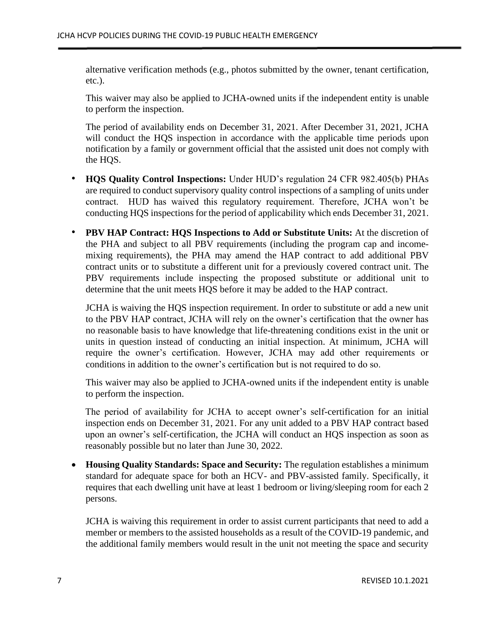alternative verification methods (e.g., photos submitted by the owner, tenant certification, etc.).

This waiver may also be applied to JCHA-owned units if the independent entity is unable to perform the inspection.

The period of availability ends on December 31, 2021. After December 31, 2021, JCHA will conduct the HQS inspection in accordance with the applicable time periods upon notification by a family or government official that the assisted unit does not comply with the HQS.

- **HQS Quality Control Inspections:** Under HUD's regulation 24 CFR 982.405(b) PHAs are required to conduct supervisory quality control inspections of a sampling of units under contract. HUD has waived this regulatory requirement. Therefore, JCHA won't be conducting HQS inspections for the period of applicability which ends December 31, 2021.
- **PBV HAP Contract: HQS Inspections to Add or Substitute Units:** At the discretion of the PHA and subject to all PBV requirements (including the program cap and incomemixing requirements), the PHA may amend the HAP contract to add additional PBV contract units or to substitute a different unit for a previously covered contract unit. The PBV requirements include inspecting the proposed substitute or additional unit to determine that the unit meets HQS before it may be added to the HAP contract.

JCHA is waiving the HQS inspection requirement. In order to substitute or add a new unit to the PBV HAP contract, JCHA will rely on the owner's certification that the owner has no reasonable basis to have knowledge that life-threatening conditions exist in the unit or units in question instead of conducting an initial inspection. At minimum, JCHA will require the owner's certification. However, JCHA may add other requirements or conditions in addition to the owner's certification but is not required to do so.

This waiver may also be applied to JCHA-owned units if the independent entity is unable to perform the inspection.

The period of availability for JCHA to accept owner's self-certification for an initial inspection ends on December 31, 2021. For any unit added to a PBV HAP contract based upon an owner's self-certification, the JCHA will conduct an HQS inspection as soon as reasonably possible but no later than June 30, 2022.

• **Housing Quality Standards: Space and Security:** The regulation establishes a minimum standard for adequate space for both an HCV- and PBV-assisted family. Specifically, it requires that each dwelling unit have at least 1 bedroom or living/sleeping room for each 2 persons.

JCHA is waiving this requirement in order to assist current participants that need to add a member or members to the assisted households as a result of the COVID-19 pandemic, and the additional family members would result in the unit not meeting the space and security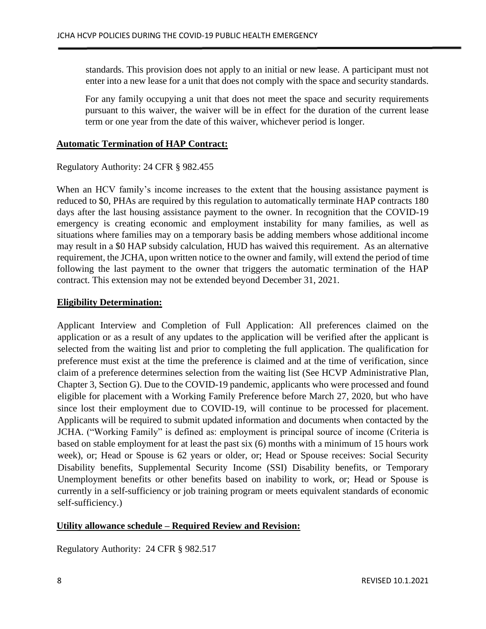standards. This provision does not apply to an initial or new lease. A participant must not enter into a new lease for a unit that does not comply with the space and security standards.

For any family occupying a unit that does not meet the space and security requirements pursuant to this waiver, the waiver will be in effect for the duration of the current lease term or one year from the date of this waiver, whichever period is longer.

### **Automatic Termination of HAP Contract:**

#### Regulatory Authority: 24 CFR § 982.455

When an HCV family's income increases to the extent that the housing assistance payment is reduced to \$0, PHAs are required by this regulation to automatically terminate HAP contracts 180 days after the last housing assistance payment to the owner. In recognition that the COVID-19 emergency is creating economic and employment instability for many families, as well as situations where families may on a temporary basis be adding members whose additional income may result in a \$0 HAP subsidy calculation, HUD has waived this requirement. As an alternative requirement, the JCHA, upon written notice to the owner and family, will extend the period of time following the last payment to the owner that triggers the automatic termination of the HAP contract. This extension may not be extended beyond December 31, 2021.

# **Eligibility Determination:**

Applicant Interview and Completion of Full Application: All preferences claimed on the application or as a result of any updates to the application will be verified after the applicant is selected from the waiting list and prior to completing the full application. The qualification for preference must exist at the time the preference is claimed and at the time of verification, since claim of a preference determines selection from the waiting list (See HCVP Administrative Plan, Chapter 3, Section G). Due to the COVID-19 pandemic, applicants who were processed and found eligible for placement with a Working Family Preference before March 27, 2020, but who have since lost their employment due to COVID-19, will continue to be processed for placement. Applicants will be required to submit updated information and documents when contacted by the JCHA. ("Working Family" is defined as: employment is principal source of income (Criteria is based on stable employment for at least the past six (6) months with a minimum of 15 hours work week), or; Head or Spouse is 62 years or older, or; Head or Spouse receives: Social Security Disability benefits, Supplemental Security Income (SSI) Disability benefits, or Temporary Unemployment benefits or other benefits based on inability to work, or; Head or Spouse is currently in a self-sufficiency or job training program or meets equivalent standards of economic self-sufficiency.)

# **Utility allowance schedule – Required Review and Revision:**

Regulatory Authority: 24 CFR § 982.517